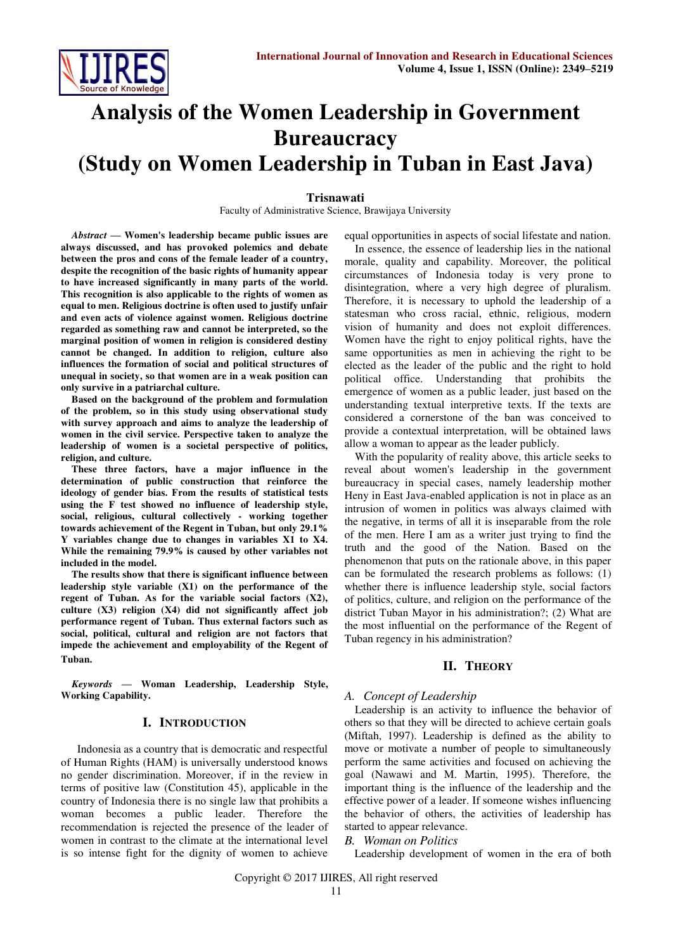

# **Analysis of the Women Leadership in Government Bureaucracy (Study on Women Leadership in Tuban in East Java)**

#### **Trisnawati**

Faculty of Administrative Science, Brawijaya University

*Abstract* **— Women's leadership became public issues are always discussed, and has provoked polemics and debate between the pros and cons of the female leader of a country, despite the recognition of the basic rights of humanity appear to have increased significantly in many parts of the world. This recognition is also applicable to the rights of women as equal to men. Religious doctrine is often used to justify unfair and even acts of violence against women. Religious doctrine regarded as something raw and cannot be interpreted, so the marginal position of women in religion is considered destiny cannot be changed. In addition to religion, culture also influences the formation of social and political structures of unequal in society, so that women are in a weak position can only survive in a patriarchal culture.** 

**Based on the background of the problem and formulation of the problem, so in this study using observational study with survey approach and aims to analyze the leadership of women in the civil service. Perspective taken to analyze the leadership of women is a societal perspective of politics, religion, and culture.** 

**These three factors, have a major influence in the determination of public construction that reinforce the ideology of gender bias. From the results of statistical tests using the F test showed no influence of leadership style, social, religious, cultural collectively - working together towards achievement of the Regent in Tuban, but only 29.1% Y variables change due to changes in variables X1 to X4. While the remaining 79.9% is caused by other variables not included in the model.** 

**The results show that there is significant influence between leadership style variable (X1) on the performance of the regent of Tuban. As for the variable social factors (X2), culture (X3) religion (X4) did not significantly affect job performance regent of Tuban. Thus external factors such as social, political, cultural and religion are not factors that impede the achievement and employability of the Regent of Tuban.**

*Keywords* **— Woman Leadership, Leadership Style, Working Capability.** 

## **I. INTRODUCTION**

 Indonesia as a country that is democratic and respectful of Human Rights (HAM) is universally understood knows no gender discrimination. Moreover, if in the review in terms of positive law (Constitution 45), applicable in the country of Indonesia there is no single law that prohibits a woman becomes a public leader. Therefore the recommendation is rejected the presence of the leader of women in contrast to the climate at the international level is so intense fight for the dignity of women to achieve equal opportunities in aspects of social lifestate and nation.

In essence, the essence of leadership lies in the national morale, quality and capability. Moreover, the political circumstances of Indonesia today is very prone to disintegration, where a very high degree of pluralism. Therefore, it is necessary to uphold the leadership of a statesman who cross racial, ethnic, religious, modern vision of humanity and does not exploit differences. Women have the right to enjoy political rights, have the same opportunities as men in achieving the right to be elected as the leader of the public and the right to hold political office. Understanding that prohibits the emergence of women as a public leader, just based on the understanding textual interpretive texts. If the texts are considered a cornerstone of the ban was conceived to provide a contextual interpretation, will be obtained laws allow a woman to appear as the leader publicly.

With the popularity of reality above, this article seeks to reveal about women's leadership in the government bureaucracy in special cases, namely leadership mother Heny in East Java-enabled application is not in place as an intrusion of women in politics was always claimed with the negative, in terms of all it is inseparable from the role of the men. Here I am as a writer just trying to find the truth and the good of the Nation. Based on the phenomenon that puts on the rationale above, in this paper can be formulated the research problems as follows: (1) whether there is influence leadership style, social factors of politics, culture, and religion on the performance of the district Tuban Mayor in his administration?; (2) What are the most influential on the performance of the Regent of Tuban regency in his administration?

## **II. THEORY**

## *A. Concept of Leadership*

Leadership is an activity to influence the behavior of others so that they will be directed to achieve certain goals (Miftah, 1997). Leadership is defined as the ability to move or motivate a number of people to simultaneously perform the same activities and focused on achieving the goal (Nawawi and M. Martin, 1995). Therefore, the important thing is the influence of the leadership and the effective power of a leader. If someone wishes influencing the behavior of others, the activities of leadership has started to appear relevance.

## *B. Woman on Politics*

Leadership development of women in the era of both

Copyright © 2017 IJIRES, All right reserved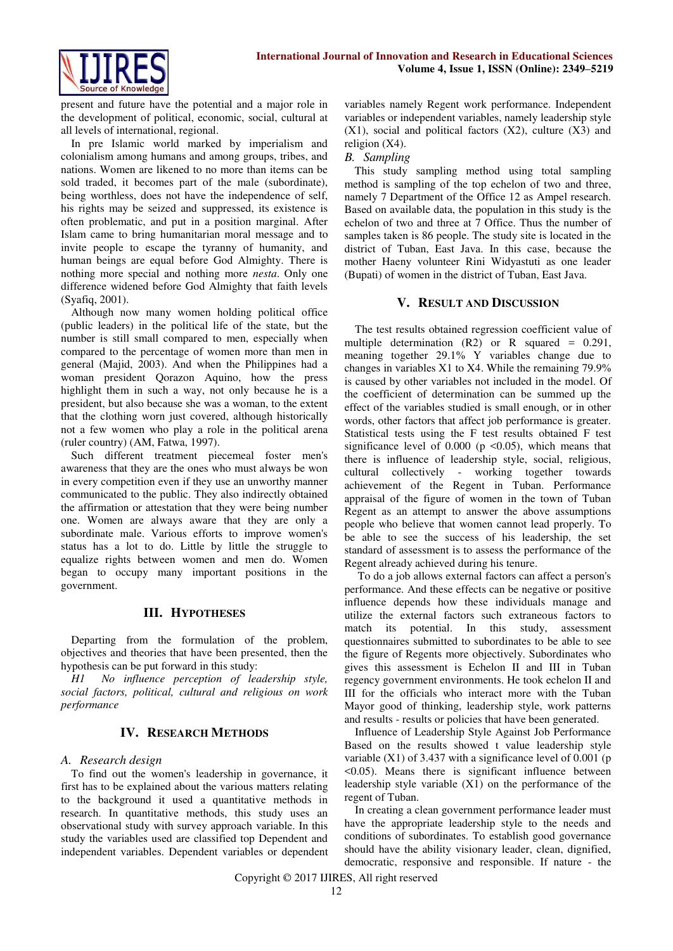present and future have the potential and a major role in the development of political, economic, social, cultural at all levels of international, regional.

In pre Islamic world marked by imperialism and colonialism among humans and among groups, tribes, and nations. Women are likened to no more than items can be sold traded, it becomes part of the male (subordinate), being worthless, does not have the independence of self, his rights may be seized and suppressed, its existence is often problematic, and put in a position marginal. After Islam came to bring humanitarian moral message and to invite people to escape the tyranny of humanity, and human beings are equal before God Almighty. There is nothing more special and nothing more *nesta*. Only one difference widened before God Almighty that faith levels (Syafiq, 2001).

Although now many women holding political office (public leaders) in the political life of the state, but the number is still small compared to men, especially when compared to the percentage of women more than men in general (Majid, 2003). And when the Philippines had a woman president Qorazon Aquino, how the press highlight them in such a way, not only because he is a president, but also because she was a woman, to the extent that the clothing worn just covered, although historically not a few women who play a role in the political arena (ruler country) (AM, Fatwa, 1997).

Such different treatment piecemeal foster men's awareness that they are the ones who must always be won in every competition even if they use an unworthy manner communicated to the public. They also indirectly obtained the affirmation or attestation that they were being number one. Women are always aware that they are only a subordinate male. Various efforts to improve women's status has a lot to do. Little by little the struggle to equalize rights between women and men do. Women began to occupy many important positions in the government.

## **III. HYPOTHESES**

Departing from the formulation of the problem, objectives and theories that have been presented, then the hypothesis can be put forward in this study:

*H1 No influence perception of leadership style, social factors, political, cultural and religious on work performance* 

# **IV. RESEARCH METHODS**

## *A. Research design*

To find out the women's leadership in governance, it first has to be explained about the various matters relating to the background it used a quantitative methods in research. In quantitative methods, this study uses an observational study with survey approach variable. In this study the variables used are classified top Dependent and independent variables. Dependent variables or dependent

variables namely Regent work performance. Independent variables or independent variables, namely leadership style  $(X1)$ , social and political factors  $(X2)$ , culture  $(X3)$  and religion (X4).

#### *B. Sampling*

This study sampling method using total sampling method is sampling of the top echelon of two and three, namely 7 Department of the Office 12 as Ampel research. Based on available data, the population in this study is the echelon of two and three at 7 Office. Thus the number of samples taken is 86 people. The study site is located in the district of Tuban, East Java. In this case, because the mother Haeny volunteer Rini Widyastuti as one leader (Bupati) of women in the district of Tuban, East Java.

#### **V. RESULT AND DISCUSSION**

The test results obtained regression coefficient value of multiple determination  $(R2)$  or R squared = 0.291, meaning together 29.1% Y variables change due to changes in variables X1 to X4. While the remaining 79.9% is caused by other variables not included in the model. Of the coefficient of determination can be summed up the effect of the variables studied is small enough, or in other words, other factors that affect job performance is greater. Statistical tests using the F test results obtained F test significance level of  $0.000$  ( $p \le 0.05$ ), which means that there is influence of leadership style, social, religious, cultural collectively - working together towards achievement of the Regent in Tuban. Performance appraisal of the figure of women in the town of Tuban Regent as an attempt to answer the above assumptions people who believe that women cannot lead properly. To be able to see the success of his leadership, the set standard of assessment is to assess the performance of the Regent already achieved during his tenure.

 To do a job allows external factors can affect a person's performance. And these effects can be negative or positive influence depends how these individuals manage and utilize the external factors such extraneous factors to match its potential. In this study, assessment questionnaires submitted to subordinates to be able to see the figure of Regents more objectively. Subordinates who gives this assessment is Echelon II and III in Tuban regency government environments. He took echelon II and III for the officials who interact more with the Tuban Mayor good of thinking, leadership style, work patterns and results - results or policies that have been generated.

Influence of Leadership Style Against Job Performance Based on the results showed t value leadership style variable (X1) of 3.437 with a significance level of 0.001 (p <0.05). Means there is significant influence between leadership style variable (X1) on the performance of the regent of Tuban.

In creating a clean government performance leader must have the appropriate leadership style to the needs and conditions of subordinates. To establish good governance should have the ability visionary leader, clean, dignified, democratic, responsive and responsible. If nature - the

Copyright © 2017 IJIRES, All right reserved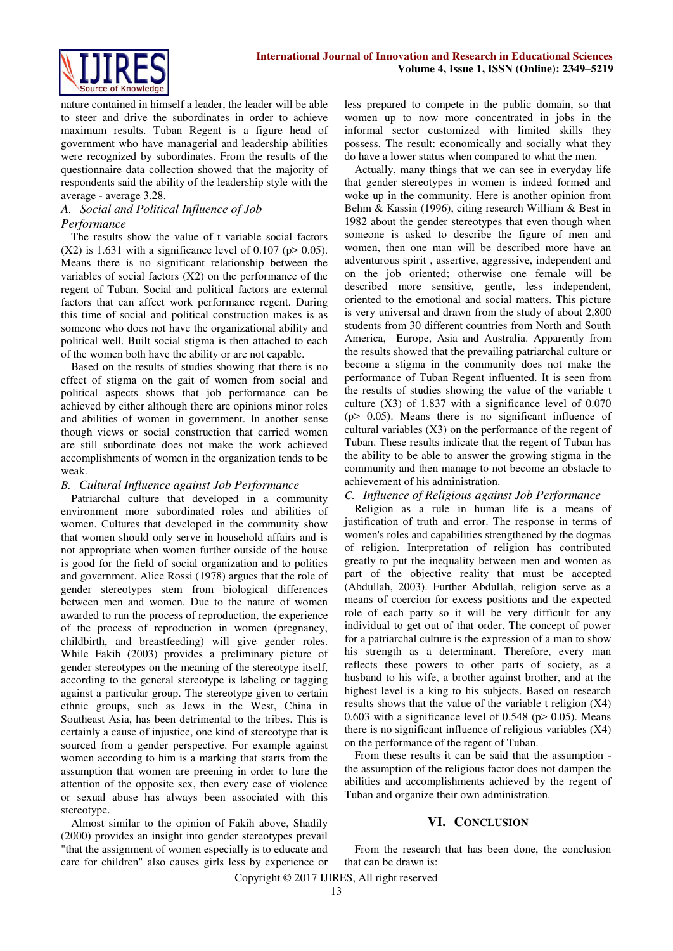

nature contained in himself a leader, the leader will be able to steer and drive the subordinates in order to achieve maximum results. Tuban Regent is a figure head of government who have managerial and leadership abilities were recognized by subordinates. From the results of the questionnaire data collection showed that the majority of respondents said the ability of the leadership style with the average - average 3.28.

## *A. Social and Political Influence of Job Performance*

The results show the value of t variable social factors  $(X2)$  is 1.631 with a significance level of 0.107 (p> 0.05). Means there is no significant relationship between the variables of social factors (X2) on the performance of the regent of Tuban. Social and political factors are external factors that can affect work performance regent. During this time of social and political construction makes is as someone who does not have the organizational ability and political well. Built social stigma is then attached to each of the women both have the ability or are not capable.

Based on the results of studies showing that there is no effect of stigma on the gait of women from social and political aspects shows that job performance can be achieved by either although there are opinions minor roles and abilities of women in government. In another sense though views or social construction that carried women are still subordinate does not make the work achieved accomplishments of women in the organization tends to be weak.

# *B. Cultural Influence against Job Performance*

Patriarchal culture that developed in a community environment more subordinated roles and abilities of women. Cultures that developed in the community show that women should only serve in household affairs and is not appropriate when women further outside of the house is good for the field of social organization and to politics and government. Alice Rossi (1978) argues that the role of gender stereotypes stem from biological differences between men and women. Due to the nature of women awarded to run the process of reproduction, the experience of the process of reproduction in women (pregnancy, childbirth, and breastfeeding) will give gender roles. While Fakih (2003) provides a preliminary picture of gender stereotypes on the meaning of the stereotype itself, according to the general stereotype is labeling or tagging against a particular group. The stereotype given to certain ethnic groups, such as Jews in the West, China in Southeast Asia, has been detrimental to the tribes. This is certainly a cause of injustice, one kind of stereotype that is sourced from a gender perspective. For example against women according to him is a marking that starts from the assumption that women are preening in order to lure the attention of the opposite sex, then every case of violence or sexual abuse has always been associated with this stereotype.

Almost similar to the opinion of Fakih above, Shadily (2000) provides an insight into gender stereotypes prevail "that the assignment of women especially is to educate and care for children" also causes girls less by experience or

less prepared to compete in the public domain, so that women up to now more concentrated in jobs in the informal sector customized with limited skills they possess. The result: economically and socially what they do have a lower status when compared to what the men.

Actually, many things that we can see in everyday life that gender stereotypes in women is indeed formed and woke up in the community. Here is another opinion from Behm & Kassin (1996), citing research William & Best in 1982 about the gender stereotypes that even though when someone is asked to describe the figure of men and women, then one man will be described more have an adventurous spirit , assertive, aggressive, independent and on the job oriented; otherwise one female will be described more sensitive, gentle, less independent, oriented to the emotional and social matters. This picture is very universal and drawn from the study of about 2,800 students from 30 different countries from North and South America, Europe, Asia and Australia. Apparently from the results showed that the prevailing patriarchal culture or become a stigma in the community does not make the performance of Tuban Regent influented. It is seen from the results of studies showing the value of the variable t culture (X3) of 1.837 with a significance level of 0.070 (p> 0.05). Means there is no significant influence of cultural variables (X3) on the performance of the regent of Tuban. These results indicate that the regent of Tuban has the ability to be able to answer the growing stigma in the community and then manage to not become an obstacle to achievement of his administration.

## *C. Influence of Religious against Job Performance*

Religion as a rule in human life is a means of justification of truth and error. The response in terms of women's roles and capabilities strengthened by the dogmas of religion. Interpretation of religion has contributed greatly to put the inequality between men and women as part of the objective reality that must be accepted (Abdullah, 2003). Further Abdullah, religion serve as a means of coercion for excess positions and the expected role of each party so it will be very difficult for any individual to get out of that order. The concept of power for a patriarchal culture is the expression of a man to show his strength as a determinant. Therefore, every man reflects these powers to other parts of society, as a husband to his wife, a brother against brother, and at the highest level is a king to his subjects. Based on research results shows that the value of the variable t religion (X4) 0.603 with a significance level of 0.548 ( $p$  > 0.05). Means there is no significant influence of religious variables (X4) on the performance of the regent of Tuban.

From these results it can be said that the assumption the assumption of the religious factor does not dampen the abilities and accomplishments achieved by the regent of Tuban and organize their own administration.

# **VI. CONCLUSION**

From the research that has been done, the conclusion that can be drawn is: